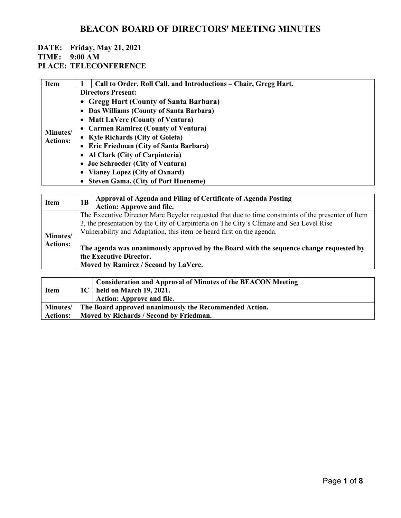#### **DATE: Friday, May 21, 2021 TIME: 9:00 AM**

**PLACE: TELECONFERENCE**

| <b>Item</b>     | Call to Order, Roll Call, and Introductions – Chair, Gregg Hart. |  |  |
|-----------------|------------------------------------------------------------------|--|--|
|                 | <b>Directors Present:</b>                                        |  |  |
|                 | • Gregg Hart (County of Santa Barbara)                           |  |  |
|                 | • Das Williams (County of Santa Barbara)                         |  |  |
|                 | • Matt LaVere (County of Ventura)                                |  |  |
| Minutes/        | • Carmen Ramirez (County of Ventura)                             |  |  |
| <b>Actions:</b> | • Kyle Richards (City of Goleta)                                 |  |  |
|                 | • Eric Friedman (City of Santa Barbara)                          |  |  |
|                 | • Al Clark (City of Carpinteria)                                 |  |  |
|                 | • Joe Schroeder (City of Ventura)                                |  |  |
|                 | • Vianey Lopez (City of Oxnard)                                  |  |  |
|                 | • Steven Gama, (City of Port Hueneme)                            |  |  |

| <b>Item</b>                 | 1B                                                                                                                                                                                                                                                                                                                                                                                                                                   | Approval of Agenda and Filing of Certificate of Agenda Posting<br><b>Action: Approve and file.</b> |
|-----------------------------|--------------------------------------------------------------------------------------------------------------------------------------------------------------------------------------------------------------------------------------------------------------------------------------------------------------------------------------------------------------------------------------------------------------------------------------|----------------------------------------------------------------------------------------------------|
| Minutes/<br><b>Actions:</b> | The Executive Director Marc Beyeler requested that due to time constraints of the presenter of Item<br>3, the presentation by the City of Carpinteria on The City's Climate and Sea Level Rise<br>Vulnerability and Adaptation, this item be heard first on the agenda.<br>The agenda was unanimously approved by the Board with the sequence change requested by<br>the Executive Director.<br>Moved by Ramirez / Second by LaVere. |                                                                                                    |
|                             |                                                                                                                                                                                                                                                                                                                                                                                                                                      |                                                                                                    |
|                             |                                                                                                                                                                                                                                                                                                                                                                                                                                      | <b>Consideration and Approval of Minutes of the BEACON Meeting</b>                                 |

| <b>Item</b>     |                                                        | Consideration and Approval of Miniters of the DEACON Micenig<br>1C   held on March 19, 2021. |
|-----------------|--------------------------------------------------------|----------------------------------------------------------------------------------------------|
|                 |                                                        | <b>Action: Approve and file.</b>                                                             |
| <b>Minutes/</b> | The Board approved unanimously the Recommended Action. |                                                                                              |
| <b>Actions:</b> | Moved by Richards / Second by Friedman.                |                                                                                              |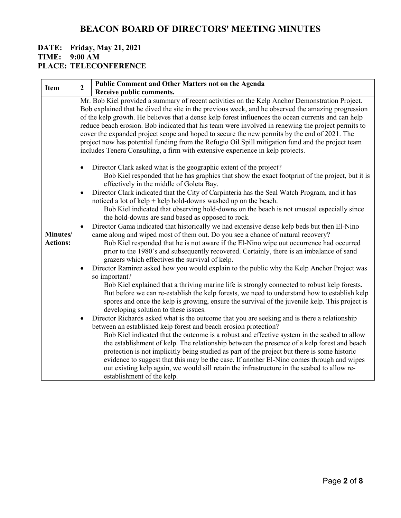|                                            | $\mathbf{2}$           | Public Comment and Other Matters not on the Agenda                                                                                                                                                                                                                                                                                                                                                                                                                                                                                                                                                                                                                                                                                                                                                                                                                                                                                                                                                                                                                                                                                                                                                                                                                                                                                                                                                                                                                                                                                                                                                                                                                                                                                                                                                                                                                                                             |
|--------------------------------------------|------------------------|----------------------------------------------------------------------------------------------------------------------------------------------------------------------------------------------------------------------------------------------------------------------------------------------------------------------------------------------------------------------------------------------------------------------------------------------------------------------------------------------------------------------------------------------------------------------------------------------------------------------------------------------------------------------------------------------------------------------------------------------------------------------------------------------------------------------------------------------------------------------------------------------------------------------------------------------------------------------------------------------------------------------------------------------------------------------------------------------------------------------------------------------------------------------------------------------------------------------------------------------------------------------------------------------------------------------------------------------------------------------------------------------------------------------------------------------------------------------------------------------------------------------------------------------------------------------------------------------------------------------------------------------------------------------------------------------------------------------------------------------------------------------------------------------------------------------------------------------------------------------------------------------------------------|
|                                            |                        | Receive public comments.                                                                                                                                                                                                                                                                                                                                                                                                                                                                                                                                                                                                                                                                                                                                                                                                                                                                                                                                                                                                                                                                                                                                                                                                                                                                                                                                                                                                                                                                                                                                                                                                                                                                                                                                                                                                                                                                                       |
| <b>Item</b><br>Minutes/<br><b>Actions:</b> | $\bullet$<br>$\bullet$ | Mr. Bob Kiel provided a summary of recent activities on the Kelp Anchor Demonstration Project.<br>Bob explained that he dived the site in the previous week, and he observed the amazing progression<br>of the kelp growth. He believes that a dense kelp forest influences the ocean currents and can help<br>reduce beach erosion. Bob indicated that his team were involved in renewing the project permits to<br>cover the expanded project scope and hoped to secure the new permits by the end of 2021. The<br>project now has potential funding from the Refugio Oil Spill mitigation fund and the project team<br>includes Tenera Consulting, a firm with extensive experience in kelp projects.<br>Director Clark asked what is the geographic extent of the project?<br>Bob Kiel responded that he has graphics that show the exact footprint of the project, but it is<br>effectively in the middle of Goleta Bay.<br>Director Clark indicated that the City of Carpinteria has the Seal Watch Program, and it has<br>noticed a lot of $\text{kelp}$ + $\text{kelp}$ hold-downs washed up on the beach.<br>Bob Kiel indicated that observing hold-downs on the beach is not unusual especially since<br>the hold-downs are sand based as opposed to rock.<br>Director Gama indicated that historically we had extensive dense kelp beds but then El-Nino<br>came along and wiped most of them out. Do you see a chance of natural recovery?<br>Bob Kiel responded that he is not aware if the El-Nino wipe out occurrence had occurred<br>prior to the 1980's and subsequently recovered. Certainly, there is an imbalance of sand<br>grazers which effectives the survival of kelp.<br>Director Ramirez asked how you would explain to the public why the Kelp Anchor Project was<br>so important?<br>Bob Kiel explained that a thriving marine life is strongly connected to robust kelp forests. |
|                                            |                        | But before we can re-establish the kelp forests, we need to understand how to establish kelp<br>spores and once the kelp is growing, ensure the survival of the juvenile kelp. This project is<br>developing solution to these issues.                                                                                                                                                                                                                                                                                                                                                                                                                                                                                                                                                                                                                                                                                                                                                                                                                                                                                                                                                                                                                                                                                                                                                                                                                                                                                                                                                                                                                                                                                                                                                                                                                                                                         |
|                                            | ٠                      | Director Richards asked what is the outcome that you are seeking and is there a relationship<br>between an established kelp forest and beach erosion protection?<br>Bob Kiel indicated that the outcome is a robust and effective system in the seabed to allow<br>the establishment of kelp. The relationship between the presence of a kelp forest and beach<br>protection is not implicitly being studied as part of the project but there is some historic<br>evidence to suggest that this may be the case. If another El-Nino comes through and wipes<br>out existing kelp again, we would sill retain the infrastructure in the seabed to allow re-                                                                                                                                                                                                                                                                                                                                                                                                                                                                                                                                                                                                                                                                                                                                                                                                                                                                                                                                                                                                                                                                                                                                                                                                                                                     |
|                                            |                        | establishment of the kelp.                                                                                                                                                                                                                                                                                                                                                                                                                                                                                                                                                                                                                                                                                                                                                                                                                                                                                                                                                                                                                                                                                                                                                                                                                                                                                                                                                                                                                                                                                                                                                                                                                                                                                                                                                                                                                                                                                     |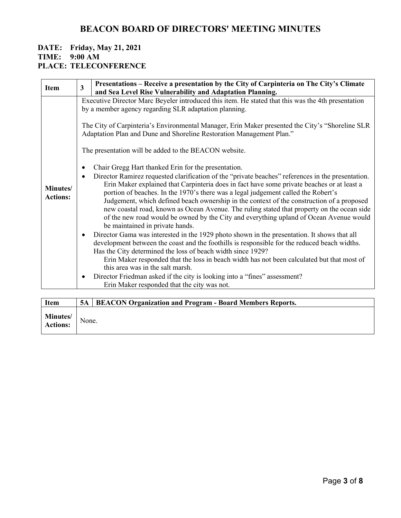| <b>Item</b>                 | $\overline{\mathbf{3}}$                               |                                                                                                                                                                                                                                                                                                                                                                                                                                                                                                                                                                                                                                                                                                                                                                                                                                                                                                                                                                                                                                                                                                                                                                                                 |  |  |
|-----------------------------|-------------------------------------------------------|-------------------------------------------------------------------------------------------------------------------------------------------------------------------------------------------------------------------------------------------------------------------------------------------------------------------------------------------------------------------------------------------------------------------------------------------------------------------------------------------------------------------------------------------------------------------------------------------------------------------------------------------------------------------------------------------------------------------------------------------------------------------------------------------------------------------------------------------------------------------------------------------------------------------------------------------------------------------------------------------------------------------------------------------------------------------------------------------------------------------------------------------------------------------------------------------------|--|--|
|                             |                                                       | and Sea Level Rise Vulnerability and Adaptation Planning.                                                                                                                                                                                                                                                                                                                                                                                                                                                                                                                                                                                                                                                                                                                                                                                                                                                                                                                                                                                                                                                                                                                                       |  |  |
|                             |                                                       | Executive Director Marc Beyeler introduced this item. He stated that this was the 4th presentation<br>by a member agency regarding SLR adaptation planning.                                                                                                                                                                                                                                                                                                                                                                                                                                                                                                                                                                                                                                                                                                                                                                                                                                                                                                                                                                                                                                     |  |  |
|                             |                                                       | The City of Carpinteria's Environmental Manager, Erin Maker presented the City's "Shoreline SLR<br>Adaptation Plan and Dune and Shoreline Restoration Management Plan."                                                                                                                                                                                                                                                                                                                                                                                                                                                                                                                                                                                                                                                                                                                                                                                                                                                                                                                                                                                                                         |  |  |
|                             | The presentation will be added to the BEACON website. |                                                                                                                                                                                                                                                                                                                                                                                                                                                                                                                                                                                                                                                                                                                                                                                                                                                                                                                                                                                                                                                                                                                                                                                                 |  |  |
| Minutes/<br><b>Actions:</b> | ٠<br>$\bullet$<br>$\bullet$<br>٠                      | Chair Gregg Hart thanked Erin for the presentation.<br>Director Ramirez requested clarification of the "private beaches" references in the presentation.<br>Erin Maker explained that Carpinteria does in fact have some private beaches or at least a<br>portion of beaches. In the 1970's there was a legal judgement called the Robert's<br>Judgement, which defined beach ownership in the context of the construction of a proposed<br>new coastal road, known as Ocean Avenue. The ruling stated that property on the ocean side<br>of the new road would be owned by the City and everything upland of Ocean Avenue would<br>be maintained in private hands.<br>Director Gama was interested in the 1929 photo shown in the presentation. It shows that all<br>development between the coast and the foothills is responsible for the reduced beach widths.<br>Has the City determined the loss of beach width since 1929?<br>Erin Maker responded that the loss in beach width has not been calculated but that most of<br>this area was in the salt marsh.<br>Director Friedman asked if the city is looking into a "fines" assessment?<br>Erin Maker responded that the city was not. |  |  |

| <b>Item</b>                        |       | 5A   BEACON Organization and Program - Board Members Reports. |
|------------------------------------|-------|---------------------------------------------------------------|
| <b>Minutes/</b><br><b>Actions:</b> | None. |                                                               |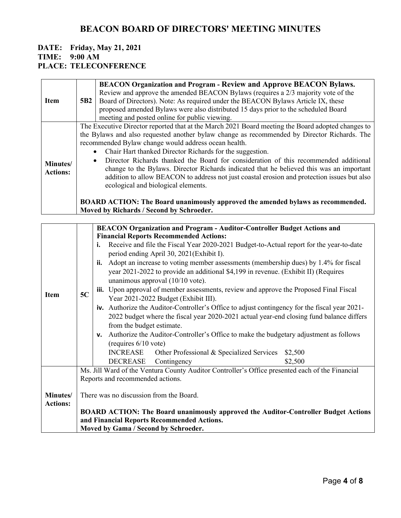| <b>Item</b>                 | 5B <sub>2</sub>        | <b>BEACON Organization and Program - Review and Approve BEACON Bylaws.</b><br>Review and approve the amended BEACON Bylaws (requires a 2/3 majority vote of the<br>Board of Directors). Note: As required under the BEACON Bylaws Article IX, these<br>proposed amended Bylaws were also distributed 15 days prior to the scheduled Board<br>meeting and posted online for public viewing.                                                                                                                                                                                                                                                                                                                                                                                           |
|-----------------------------|------------------------|--------------------------------------------------------------------------------------------------------------------------------------------------------------------------------------------------------------------------------------------------------------------------------------------------------------------------------------------------------------------------------------------------------------------------------------------------------------------------------------------------------------------------------------------------------------------------------------------------------------------------------------------------------------------------------------------------------------------------------------------------------------------------------------|
| Minutes/<br><b>Actions:</b> | $\bullet$<br>$\bullet$ | The Executive Director reported that at the March 2021 Board meeting the Board adopted changes to<br>the Bylaws and also requested another bylaw change as recommended by Director Richards. The<br>recommended Bylaw change would address ocean health.<br>Chair Hart thanked Director Richards for the suggestion.<br>Director Richards thanked the Board for consideration of this recommended additional<br>change to the Bylaws. Director Richards indicated that he believed this was an important<br>addition to allow BEACON to address not just coastal erosion and protection issues but also<br>ecological and biological elements.<br><b>BOARD ACTION:</b> The Board unanimously approved the amended bylaws as recommended.<br>Moved by Richards / Second by Schroeder. |

|                 |                                                                                                 | <b>BEACON Organization and Program - Auditor-Controller Budget Actions and</b>                |  |  |
|-----------------|-------------------------------------------------------------------------------------------------|-----------------------------------------------------------------------------------------------|--|--|
|                 |                                                                                                 | <b>Financial Reports Recommended Actions:</b>                                                 |  |  |
|                 |                                                                                                 | Receive and file the Fiscal Year 2020-2021 Budget-to-Actual report for the year-to-date<br>i. |  |  |
|                 |                                                                                                 |                                                                                               |  |  |
|                 |                                                                                                 | period ending April 30, 2021(Exhibit I).                                                      |  |  |
|                 |                                                                                                 | Adopt an increase to voting member assessments (membership dues) by 1.4% for fiscal<br>ii.    |  |  |
|                 |                                                                                                 | year 2021-2022 to provide an additional \$4,199 in revenue. (Exhibit II) (Requires            |  |  |
|                 |                                                                                                 | unanimous approval $(10/10$ vote).                                                            |  |  |
|                 |                                                                                                 | iii. Upon approval of member assessments, review and approve the Proposed Final Fiscal        |  |  |
| <b>Item</b>     | 5C                                                                                              | Year 2021-2022 Budget (Exhibit III).                                                          |  |  |
|                 |                                                                                                 | iv. Authorize the Auditor-Controller's Office to adjust contingency for the fiscal year 2021- |  |  |
|                 |                                                                                                 | 2022 budget where the fiscal year 2020-2021 actual year-end closing fund balance differs      |  |  |
|                 |                                                                                                 | from the budget estimate.                                                                     |  |  |
|                 |                                                                                                 | v. Authorize the Auditor-Controller's Office to make the budgetary adjustment as follows      |  |  |
|                 |                                                                                                 | (requires $6/10$ vote)                                                                        |  |  |
|                 |                                                                                                 | <b>INCREASE</b><br>Other Professional & Specialized Services<br>\$2,500                       |  |  |
|                 |                                                                                                 |                                                                                               |  |  |
|                 |                                                                                                 | <b>DECREASE</b><br>Contingency<br>\$2,500                                                     |  |  |
|                 | Ms. Jill Ward of the Ventura County Auditor Controller's Office presented each of the Financial |                                                                                               |  |  |
|                 | Reports and recommended actions.                                                                |                                                                                               |  |  |
|                 |                                                                                                 |                                                                                               |  |  |
| Minutes/        | There was no discussion from the Board.                                                         |                                                                                               |  |  |
| <b>Actions:</b> |                                                                                                 |                                                                                               |  |  |
|                 |                                                                                                 | BOARD ACTION: The Board unanimously approved the Auditor-Controller Budget Actions            |  |  |
|                 |                                                                                                 | and Financial Reports Recommended Actions.                                                    |  |  |
|                 |                                                                                                 | Moved by Gama / Second by Schroeder.                                                          |  |  |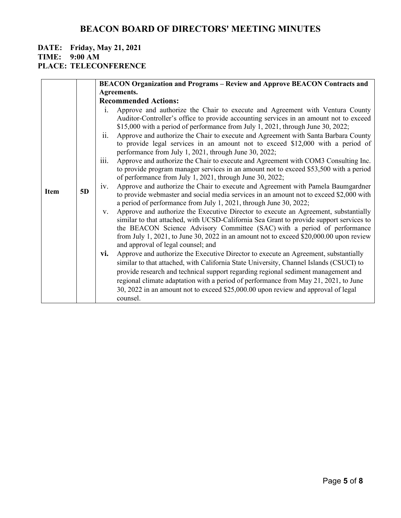## **DATE: Friday, May 21, 2021**

**TIME: 9:00 AM**

## **PLACE: TELECONFERENCE**

|             |    | <b>BEACON Organization and Programs – Review and Approve BEACON Contracts and</b>                                                                                                                                                                                                                                                                                                                |
|-------------|----|--------------------------------------------------------------------------------------------------------------------------------------------------------------------------------------------------------------------------------------------------------------------------------------------------------------------------------------------------------------------------------------------------|
|             |    | Agreements.                                                                                                                                                                                                                                                                                                                                                                                      |
|             |    | <b>Recommended Actions:</b>                                                                                                                                                                                                                                                                                                                                                                      |
|             |    | Approve and authorize the Chair to execute and Agreement with Ventura County<br>1.                                                                                                                                                                                                                                                                                                               |
|             |    | Auditor-Controller's office to provide accounting services in an amount not to exceed<br>\$15,000 with a period of performance from July 1, 2021, through June 30, 2022;                                                                                                                                                                                                                         |
| <b>Item</b> |    | ii.<br>Approve and authorize the Chair to execute and Agreement with Santa Barbara County<br>to provide legal services in an amount not to exceed \$12,000 with a period of<br>performance from July 1, 2021, through June 30, 2022;                                                                                                                                                             |
|             |    | iii.<br>Approve and authorize the Chair to execute and Agreement with COM3 Consulting Inc.<br>to provide program manager services in an amount not to exceed \$53,500 with a period<br>of performance from July 1, 2021, through June 30, 2022;                                                                                                                                                  |
|             | 5D | Approve and authorize the Chair to execute and Agreement with Pamela Baumgardner<br>iv.<br>to provide webmaster and social media services in an amount not to exceed \$2,000 with<br>a period of performance from July 1, 2021, through June 30, 2022;                                                                                                                                           |
|             |    | Approve and authorize the Executive Director to execute an Agreement, substantially<br>V.<br>similar to that attached, with UCSD-California Sea Grant to provide support services to<br>the BEACON Science Advisory Committee (SAC) with a period of performance<br>from July 1, 2021, to June 30, 2022 in an amount not to exceed \$20,000.00 upon review<br>and approval of legal counsel; and |
|             |    | Approve and authorize the Executive Director to execute an Agreement, substantially<br>vi.                                                                                                                                                                                                                                                                                                       |
|             |    | similar to that attached, with California State University, Channel Islands (CSUCI) to                                                                                                                                                                                                                                                                                                           |
|             |    | provide research and technical support regarding regional sediment management and                                                                                                                                                                                                                                                                                                                |
|             |    | regional climate adaptation with a period of performance from May 21, 2021, to June                                                                                                                                                                                                                                                                                                              |
|             |    | 30, 2022 in an amount not to exceed \$25,000.00 upon review and approval of legal<br>counsel.                                                                                                                                                                                                                                                                                                    |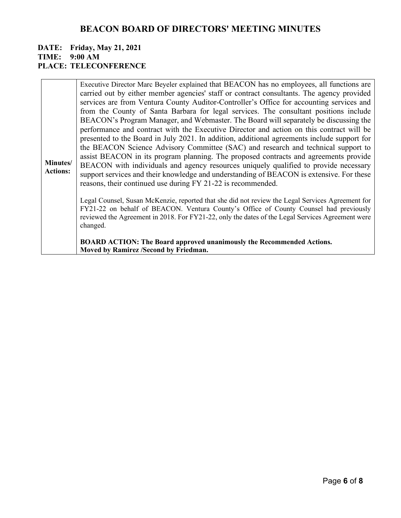|                             | Executive Director Marc Beyeler explained that BEACON has no employees, all functions are<br>carried out by either member agencies' staff or contract consultants. The agency provided                                                                                                                                                                                                                                                                                                                                                                                                                                                                                                                                                                                                                                                                                                                |
|-----------------------------|-------------------------------------------------------------------------------------------------------------------------------------------------------------------------------------------------------------------------------------------------------------------------------------------------------------------------------------------------------------------------------------------------------------------------------------------------------------------------------------------------------------------------------------------------------------------------------------------------------------------------------------------------------------------------------------------------------------------------------------------------------------------------------------------------------------------------------------------------------------------------------------------------------|
| Minutes/<br><b>Actions:</b> | services are from Ventura County Auditor-Controller's Office for accounting services and<br>from the County of Santa Barbara for legal services. The consultant positions include<br>BEACON's Program Manager, and Webmaster. The Board will separately be discussing the<br>performance and contract with the Executive Director and action on this contract will be<br>presented to the Board in July 2021. In addition, additional agreements include support for<br>the BEACON Science Advisory Committee (SAC) and research and technical support to<br>assist BEACON in its program planning. The proposed contracts and agreements provide<br>BEACON with individuals and agency resources uniquely qualified to provide necessary<br>support services and their knowledge and understanding of BEACON is extensive. For these<br>reasons, their continued use during FY 21-22 is recommended. |
|                             | Legal Counsel, Susan McKenzie, reported that she did not review the Legal Services Agreement for<br>FY21-22 on behalf of BEACON. Ventura County's Office of County Counsel had previously<br>reviewed the Agreement in 2018. For FY21-22, only the dates of the Legal Services Agreement were<br>changed.<br><b>BOARD ACTION: The Board approved unanimously the Recommended Actions.</b><br>Moved by Ramirez /Second by Friedman.                                                                                                                                                                                                                                                                                                                                                                                                                                                                    |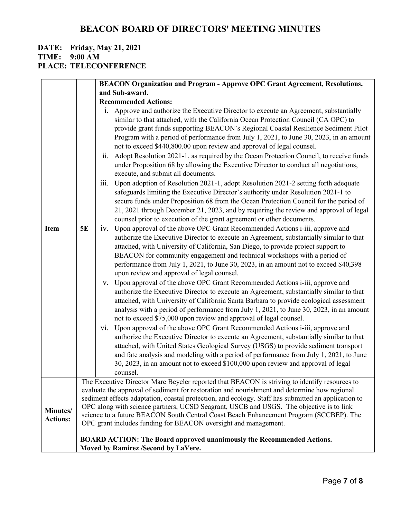## **DATE: Friday, May 21, 2021**

**TIME: 9:00 AM**

### **PLACE: TELECONFERENCE**

|                             |           | <b>BEACON Organization and Program - Approve OPC Grant Agreement, Resolutions,</b>                                                                                                                                                                                                                                                                                                                                                                                                                                                                                                                                                                                                                                                                                                                                                                                                                                                                             |
|-----------------------------|-----------|----------------------------------------------------------------------------------------------------------------------------------------------------------------------------------------------------------------------------------------------------------------------------------------------------------------------------------------------------------------------------------------------------------------------------------------------------------------------------------------------------------------------------------------------------------------------------------------------------------------------------------------------------------------------------------------------------------------------------------------------------------------------------------------------------------------------------------------------------------------------------------------------------------------------------------------------------------------|
|                             |           | and Sub-award.                                                                                                                                                                                                                                                                                                                                                                                                                                                                                                                                                                                                                                                                                                                                                                                                                                                                                                                                                 |
|                             |           | <b>Recommended Actions:</b>                                                                                                                                                                                                                                                                                                                                                                                                                                                                                                                                                                                                                                                                                                                                                                                                                                                                                                                                    |
|                             |           | i. Approve and authorize the Executive Director to execute an Agreement, substantially<br>similar to that attached, with the California Ocean Protection Council (CA OPC) to<br>provide grant funds supporting BEACON's Regional Coastal Resilience Sediment Pilot<br>Program with a period of performance from July 1, 2021, to June 30, 2023, in an amount<br>not to exceed \$440,800.00 upon review and approval of legal counsel.<br>Adopt Resolution 2021-1, as required by the Ocean Protection Council, to receive funds<br>ii.<br>under Proposition 68 by allowing the Executive Director to conduct all negotiations,<br>execute, and submit all documents.<br>Upon adoption of Resolution 2021-1, adopt Resolution 2021-2 setting forth adequate<br>$\overline{111}$ .<br>safeguards limiting the Executive Director's authority under Resolution 2021-1 to<br>secure funds under Proposition 68 from the Ocean Protection Council for the period of |
|                             |           | 21, 2021 through December 21, 2023, and by requiring the review and approval of legal                                                                                                                                                                                                                                                                                                                                                                                                                                                                                                                                                                                                                                                                                                                                                                                                                                                                          |
| <b>Item</b>                 | <b>5E</b> | counsel prior to execution of the grant agreement or other documents.<br>iv. Upon approval of the above OPC Grant Recommended Actions i-iii, approve and<br>authorize the Executive Director to execute an Agreement, substantially similar to that<br>attached, with University of California, San Diego, to provide project support to<br>BEACON for community engagement and technical workshops with a period of<br>performance from July 1, 2021, to June 30, 2023, in an amount not to exceed \$40,398<br>upon review and approval of legal counsel.                                                                                                                                                                                                                                                                                                                                                                                                     |
|                             |           | v. Upon approval of the above OPC Grant Recommended Actions i-iii, approve and<br>authorize the Executive Director to execute an Agreement, substantially similar to that<br>attached, with University of California Santa Barbara to provide ecological assessment<br>analysis with a period of performance from July 1, 2021, to June 30, 2023, in an amount<br>not to exceed \$75,000 upon review and approval of legal counsel.                                                                                                                                                                                                                                                                                                                                                                                                                                                                                                                            |
|                             |           | Upon approval of the above OPC Grant Recommended Actions i-iii, approve and<br>V1.                                                                                                                                                                                                                                                                                                                                                                                                                                                                                                                                                                                                                                                                                                                                                                                                                                                                             |
|                             |           | authorize the Executive Director to execute an Agreement, substantially similar to that<br>attached, with United States Geological Survey (USGS) to provide sediment transport<br>and fate analysis and modeling with a period of performance from July 1, 2021, to June<br>30, 2023, in an amount not to exceed \$100,000 upon review and approval of legal<br>counsel.                                                                                                                                                                                                                                                                                                                                                                                                                                                                                                                                                                                       |
|                             |           | The Executive Director Marc Beyeler reported that BEACON is striving to identify resources to                                                                                                                                                                                                                                                                                                                                                                                                                                                                                                                                                                                                                                                                                                                                                                                                                                                                  |
| Minutes/<br><b>Actions:</b> |           | evaluate the approval of sediment for restoration and nourishment and determine how regional<br>sediment effects adaptation, coastal protection, and ecology. Staff has submitted an application to<br>OPC along with science partners, UCSD Seagrant, USCB and USGS. The objective is to link<br>science to a future BEACON South Central Coast Beach Enhancement Program (SCCBEP). The<br>OPC grant includes funding for BEACON oversight and management.                                                                                                                                                                                                                                                                                                                                                                                                                                                                                                    |
|                             |           | <b>BOARD ACTION: The Board approved unanimously the Recommended Actions.</b><br>Moved by Ramirez /Second by LaVere.                                                                                                                                                                                                                                                                                                                                                                                                                                                                                                                                                                                                                                                                                                                                                                                                                                            |